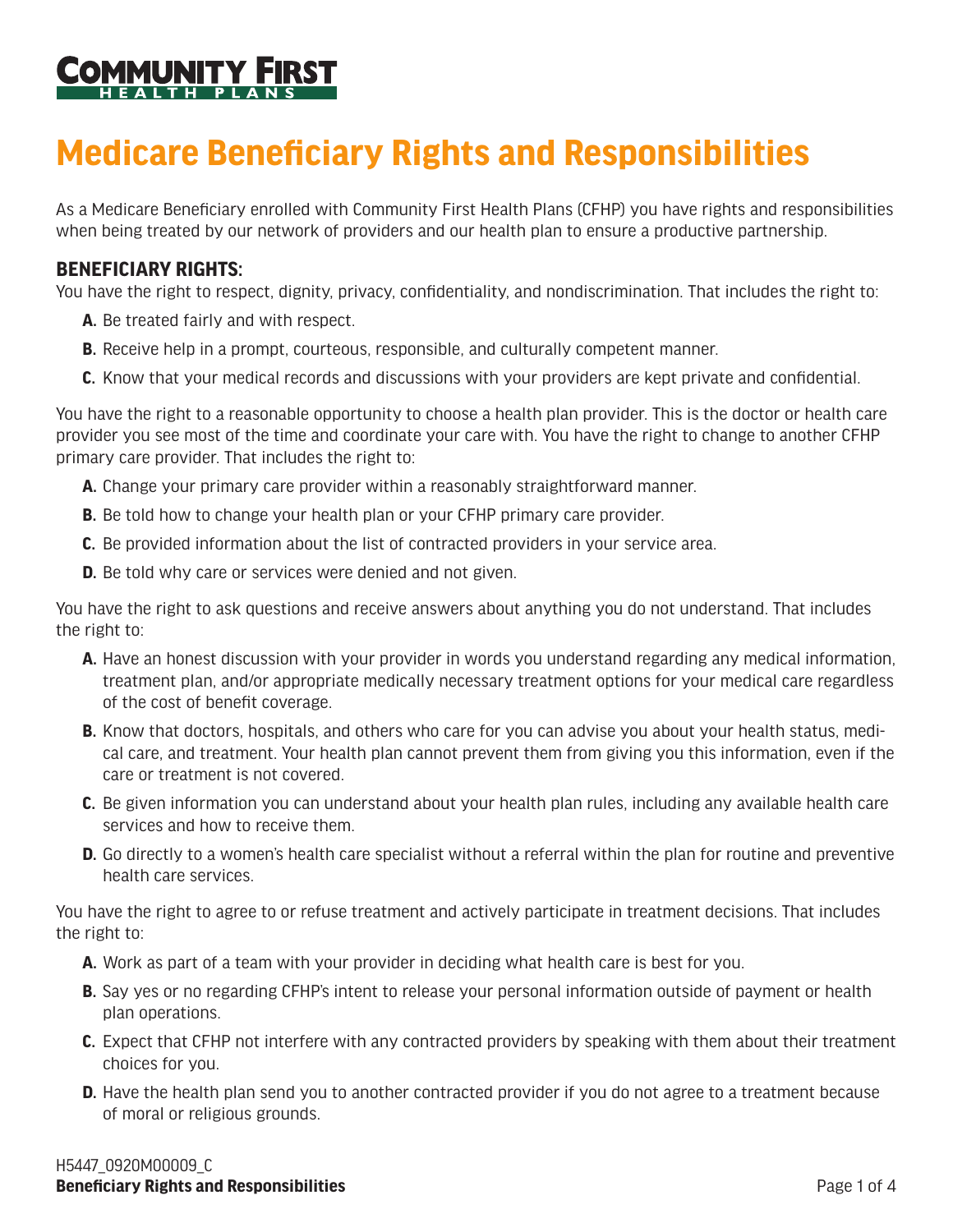

## **Medicare Beneficiary Rights and Responsibilities**

As a Medicare Beneficiary enrolled with Community First Health Plans (CFHP) you have rights and responsibilities when being treated by our network of providers and our health plan to ensure a productive partnership.

## **BENEFICIARY RIGHTS:**

You have the right to respect, dignity, privacy, confidentiality, and nondiscrimination. That includes the right to:

- **A.** Be treated fairly and with respect.
- **B.** Receive help in a prompt, courteous, responsible, and culturally competent manner.
- **C.** Know that your medical records and discussions with your providers are kept private and confidential.

You have the right to a reasonable opportunity to choose a health plan provider. This is the doctor or health care provider you see most of the time and coordinate your care with. You have the right to change to another CFHP primary care provider. That includes the right to:

- **A.** Change your primary care provider within a reasonably straightforward manner.
- **B.** Be told how to change your health plan or your CFHP primary care provider.
- **C.** Be provided information about the list of contracted providers in your service area.
- **D.** Be told why care or services were denied and not given.

You have the right to ask questions and receive answers about anything you do not understand. That includes the right to:

- **A.** Have an honest discussion with your provider in words you understand regarding any medical information, treatment plan, and/or appropriate medically necessary treatment options for your medical care regardless of the cost of benefit coverage.
- **B.** Know that doctors, hospitals, and others who care for you can advise you about your health status, medical care, and treatment. Your health plan cannot prevent them from giving you this information, even if the care or treatment is not covered.
- **C.** Be given information you can understand about your health plan rules, including any available health care services and how to receive them.
- **D.** Go directly to a women's health care specialist without a referral within the plan for routine and preventive health care services.

You have the right to agree to or refuse treatment and actively participate in treatment decisions. That includes the right to:

- **A.** Work as part of a team with your provider in deciding what health care is best for you.
- **B.** Say yes or no regarding CFHP's intent to release your personal information outside of payment or health plan operations.
- **C.** Expect that CFHP not interfere with any contracted providers by speaking with them about their treatment choices for you.
- **D.** Have the health plan send you to another contracted provider if you do not agree to a treatment because of moral or religious grounds.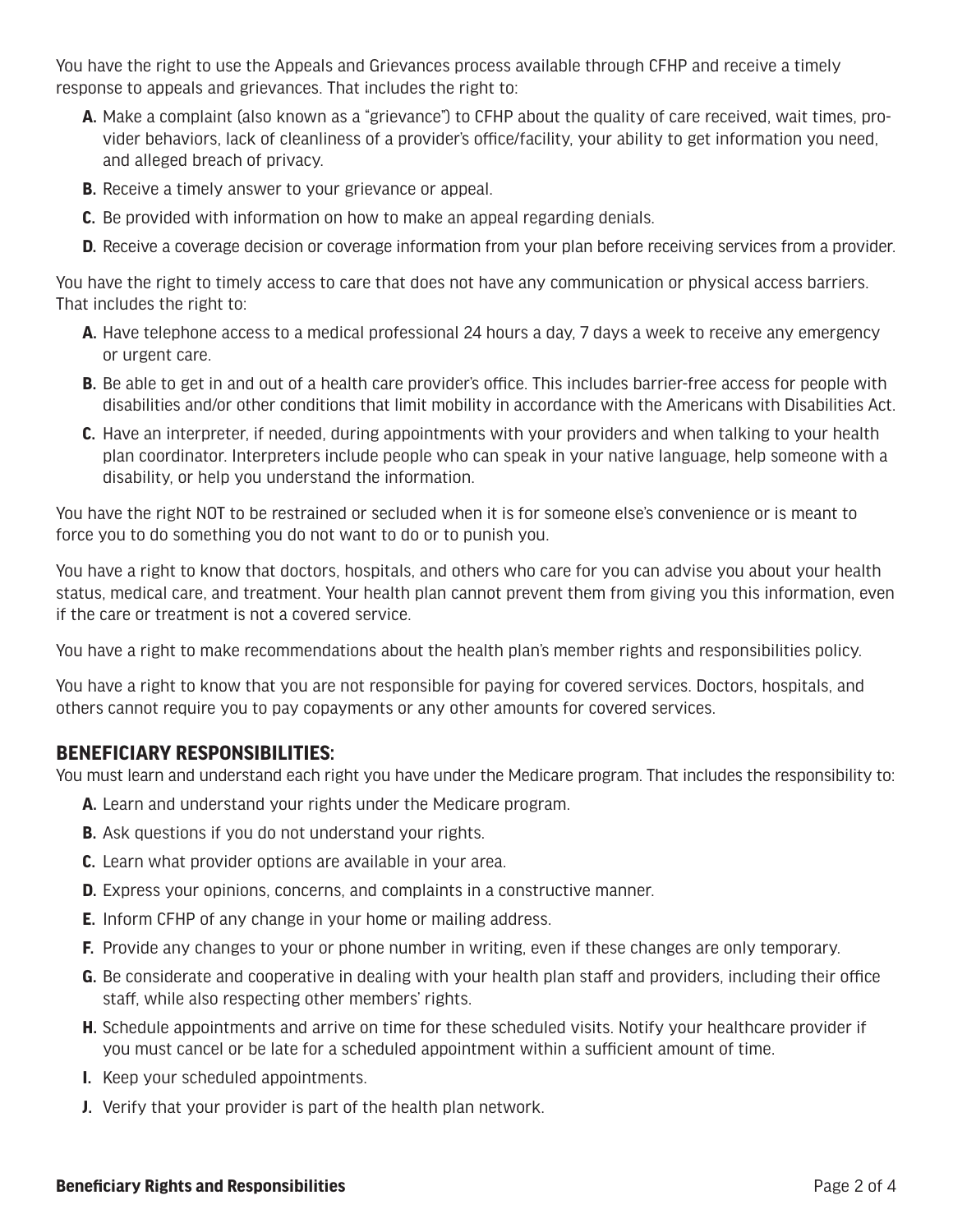You have the right to use the Appeals and Grievances process available through CFHP and receive a timely response to appeals and grievances. That includes the right to:

- **A.** Make a complaint (also known as a "grievance") to CFHP about the quality of care received, wait times, provider behaviors, lack of cleanliness of a provider's office/facility, your ability to get information you need, and alleged breach of privacy.
- **B.** Receive a timely answer to your grievance or appeal.
- **C.** Be provided with information on how to make an appeal regarding denials.
- **D.** Receive a coverage decision or coverage information from your plan before receiving services from a provider.

You have the right to timely access to care that does not have any communication or physical access barriers. That includes the right to:

- **A.** Have telephone access to a medical professional 24 hours a day, 7 days a week to receive any emergency or urgent care.
- **B.** Be able to get in and out of a health care provider's office. This includes barrier-free access for people with disabilities and/or other conditions that limit mobility in accordance with the Americans with Disabilities Act.
- **C.** Have an interpreter, if needed, during appointments with your providers and when talking to your health plan coordinator. Interpreters include people who can speak in your native language, help someone with a disability, or help you understand the information.

You have the right NOT to be restrained or secluded when it is for someone else's convenience or is meant to force you to do something you do not want to do or to punish you.

You have a right to know that doctors, hospitals, and others who care for you can advise you about your health status, medical care, and treatment. Your health plan cannot prevent them from giving you this information, even if the care or treatment is not a covered service.

You have a right to make recommendations about the health plan's member rights and responsibilities policy.

You have a right to know that you are not responsible for paying for covered services. Doctors, hospitals, and others cannot require you to pay copayments or any other amounts for covered services.

## **BENEFICIARY RESPONSIBILITIES:**

You must learn and understand each right you have under the Medicare program. That includes the responsibility to:

- **A.** Learn and understand your rights under the Medicare program.
- **B.** Ask questions if you do not understand your rights.
- **C.** Learn what provider options are available in your area.
- **D.** Express your opinions, concerns, and complaints in a constructive manner.
- **E.** Inform CFHP of any change in your home or mailing address.
- **F.** Provide any changes to your or phone number in writing, even if these changes are only temporary.
- **G.** Be considerate and cooperative in dealing with your health plan staff and providers, including their office staff, while also respecting other members' rights.
- **H.** Schedule appointments and arrive on time for these scheduled visits. Notify your healthcare provider if you must cancel or be late for a scheduled appointment within a sufficient amount of time.
- **I.** Keep your scheduled appointments.
- **J.** Verify that your provider is part of the health plan network.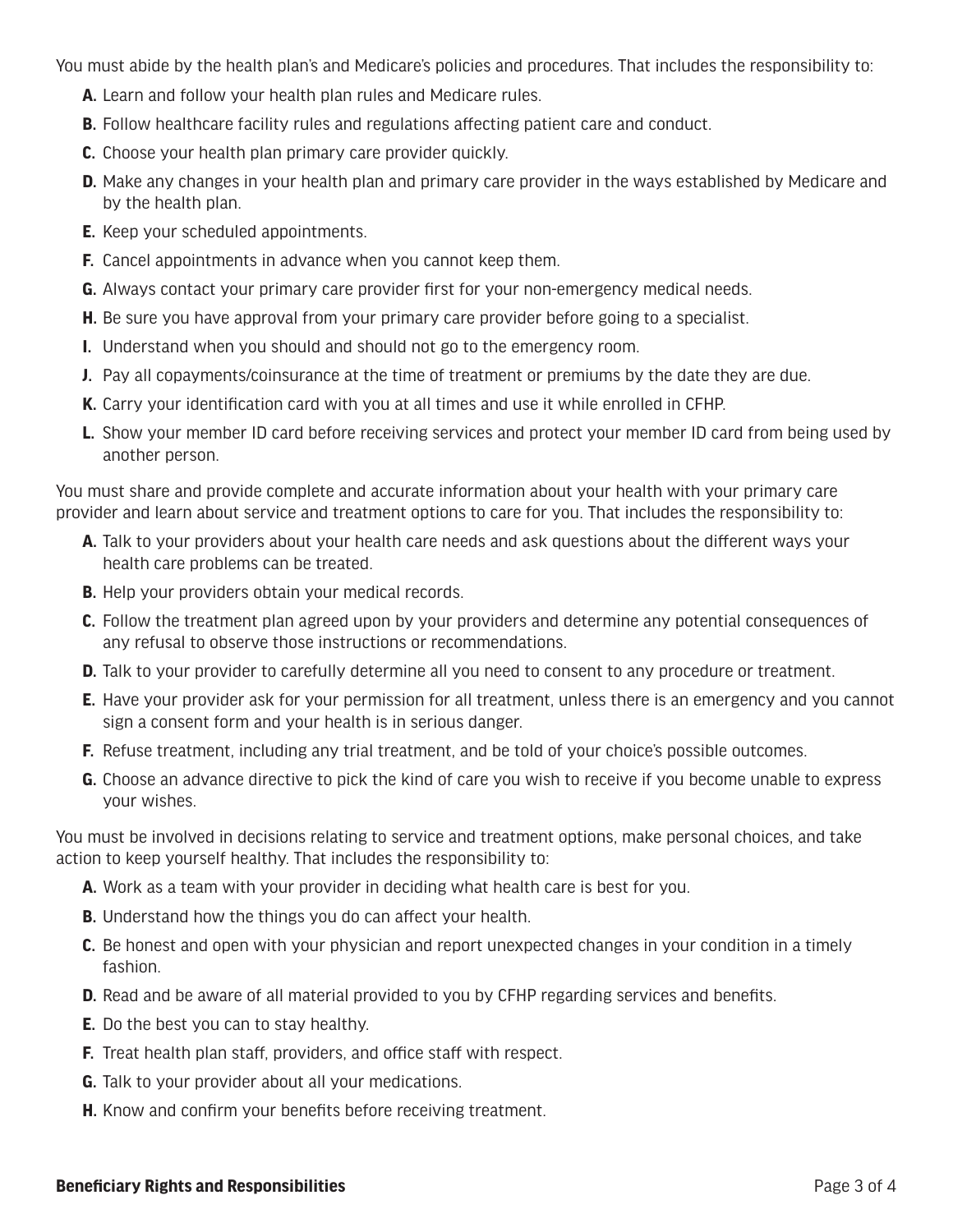You must abide by the health plan's and Medicare's policies and procedures. That includes the responsibility to:

- **A.** Learn and follow your health plan rules and Medicare rules.
- **B.** Follow healthcare facility rules and regulations affecting patient care and conduct.
- **C.** Choose your health plan primary care provider quickly.
- **D.** Make any changes in your health plan and primary care provider in the ways established by Medicare and by the health plan.
- **E.** Keep your scheduled appointments.
- **F.** Cancel appointments in advance when you cannot keep them.
- **G.** Always contact your primary care provider first for your non-emergency medical needs.
- **H.** Be sure you have approval from your primary care provider before going to a specialist.
- **I.** Understand when you should and should not go to the emergency room.
- **J.** Pay all copayments/coinsurance at the time of treatment or premiums by the date they are due.
- **K.** Carry your identification card with you at all times and use it while enrolled in CFHP.
- **L.** Show your member ID card before receiving services and protect your member ID card from being used by another person.

You must share and provide complete and accurate information about your health with your primary care provider and learn about service and treatment options to care for you. That includes the responsibility to:

- **A.** Talk to your providers about your health care needs and ask questions about the different ways your health care problems can be treated.
- **B.** Help your providers obtain your medical records.
- **C.** Follow the treatment plan agreed upon by your providers and determine any potential consequences of any refusal to observe those instructions or recommendations.
- **D.** Talk to your provider to carefully determine all you need to consent to any procedure or treatment.
- **E.** Have your provider ask for your permission for all treatment, unless there is an emergency and you cannot sign a consent form and your health is in serious danger.
- **F.** Refuse treatment, including any trial treatment, and be told of your choice's possible outcomes.
- **G.** Choose an advance directive to pick the kind of care you wish to receive if you become unable to express your wishes.

You must be involved in decisions relating to service and treatment options, make personal choices, and take action to keep yourself healthy. That includes the responsibility to:

- **A.** Work as a team with your provider in deciding what health care is best for you.
- **B.** Understand how the things you do can affect your health.
- **C.** Be honest and open with your physician and report unexpected changes in your condition in a timely fashion.
- **D.** Read and be aware of all material provided to you by CFHP regarding services and benefits.
- **E.** Do the best you can to stay healthy.
- **F.** Treat health plan staff, providers, and office staff with respect.
- **G.** Talk to your provider about all your medications.
- **H.** Know and confirm your benefits before receiving treatment.